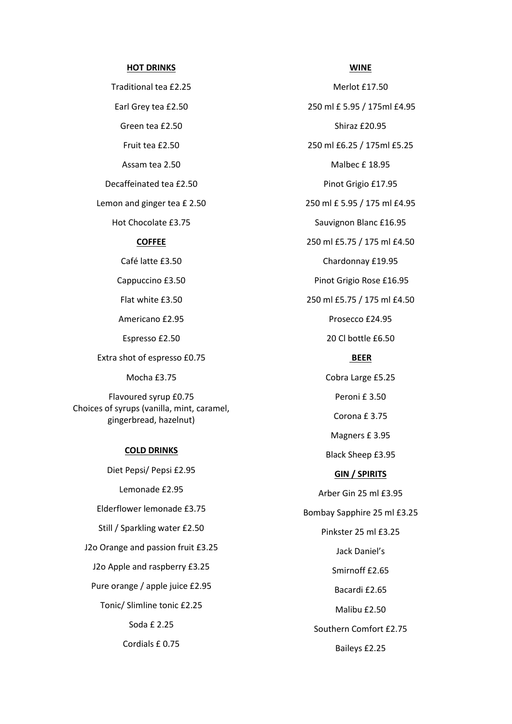#### **HOT DRINKS**

Traditional tea £2.25 Earl Grey tea £2.50 Green tea £2.50 Fruit tea £2.50 Assam tea 2.50 Decaffeinated tea £2.50 Lemon and ginger tea £ 2.50 Hot Chocolate £3.75 **COFFEE**

Café latte £3.50

Cappuccino £3.50

Flat white £3.50

Americano £2.95

Espresso £2.50

Extra shot of espresso £0.75

Mocha £3.75

Flavoured syrup £0.75 Choices of syrups (vanilla, mint, caramel, gingerbread, hazelnut)

#### **COLD DRINKS**

Diet Pepsi/ Pepsi £2.95 Lemonade £2.95 Elderflower lemonade £3.75 Still / Sparkling water £2.50 J2o Orange and passion fruit £3.25 J2o Apple and raspberry £3.25 Pure orange / apple juice £2.95 Tonic/ Slimline tonic £2.25 Soda £ 2.25 Cordials £ 0.75

Merlot £17.50 250 ml £ 5.95 / 175ml £4.95 Shiraz £20.95 250 ml £6.25 / 175ml £5.25 Malbec £ 18.95 Pinot Grigio £17.95 250 ml £ 5.95 / 175 ml £4.95 Sauvignon Blanc £16.95 250 ml £5.75 / 175 ml £4.50 Chardonnay £19.95 Pinot Grigio Rose £16.95 250 ml £5.75 / 175 ml £4.50 Prosecco £24.95 20 Cl bottle £6.50 **BEER** Cobra Large £5.25 Peroni £ 3.50 Corona £ 3.75 Magners £ 3.95 Black Sheep £3.95 **GIN / SPIRITS** Arber Gin 25 ml £3.95 Bombay Sapphire 25 ml £3.25

Pinkster 25 ml £3.25 Jack Daniel's Smirnoff £2.65 Bacardi £2.65 Malibu £2.50 Southern Comfort £2.75

Baileys £2.25

#### **WINE**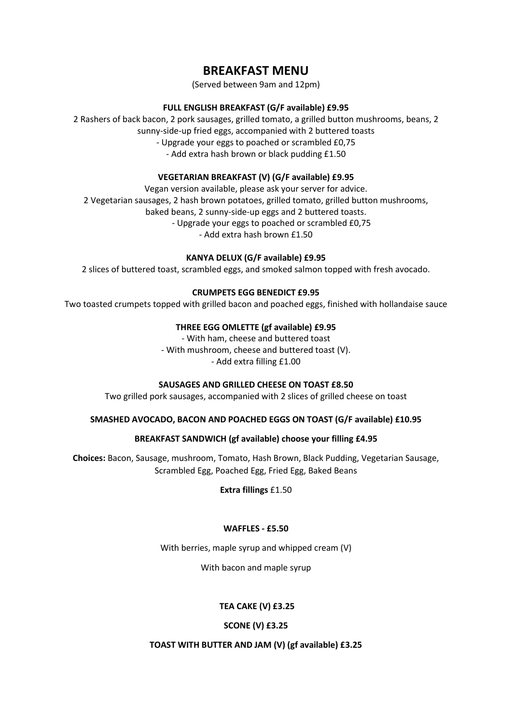### **BREAKFAST MENU**

(Served between 9am and 12pm)

#### **FULL ENGLISH BREAKFAST (G/F available) £9.95**

2 Rashers of back bacon, 2 pork sausages, grilled tomato, a grilled button mushrooms, beans, 2 sunny-side-up fried eggs, accompanied with 2 buttered toasts - Upgrade your eggs to poached or scrambled £0,75

- Add extra hash brown or black pudding £1.50

#### **VEGETARIAN BREAKFAST (V) (G/F available) £9.95**

Vegan version available, please ask your server for advice. 2 Vegetarian sausages, 2 hash brown potatoes, grilled tomato, grilled button mushrooms, baked beans, 2 sunny-side-up eggs and 2 buttered toasts. - Upgrade your eggs to poached or scrambled £0,75 - Add extra hash brown £1.50

#### **KANYA DELUX (G/F available) £9.95**

2 slices of buttered toast, scrambled eggs, and smoked salmon topped with fresh avocado.

#### **CRUMPETS EGG BENEDICT £9.95**

Two toasted crumpets topped with grilled bacon and poached eggs, finished with hollandaise sauce

#### **THREE EGG OMLETTE (gf available) £9.95**

- With ham, cheese and buttered toast - With mushroom, cheese and buttered toast (V). - Add extra filling £1.00

#### **SAUSAGES AND GRILLED CHEESE ON TOAST £8.50**

Two grilled pork sausages, accompanied with 2 slices of grilled cheese on toast

#### **SMASHED AVOCADO, BACON AND POACHED EGGS ON TOAST (G/F available) £10.95**

#### **BREAKFAST SANDWICH (gf available) choose your filling £4.95**

**Choices:** Bacon, Sausage, mushroom, Tomato, Hash Brown, Black Pudding, Vegetarian Sausage, Scrambled Egg, Poached Egg, Fried Egg, Baked Beans

**Extra fillings** £1.50

#### **WAFFLES - £5.50**

With berries, maple syrup and whipped cream (V)

With bacon and maple syrup

#### **TEA CAKE (V) £3.25**

#### **SCONE (V) £3.25**

#### **TOAST WITH BUTTER AND JAM (V) (gf available) £3.25**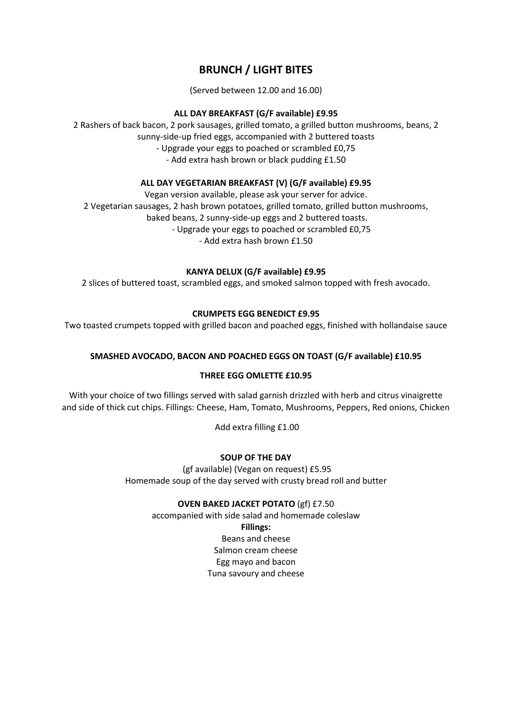### **BRUNCH / LIGHT BITES**

(Served between 12.00 and 16.00)

#### **ALL DAY BREAKFAST (G/F available) £9.95**

2 Rashers of back bacon, 2 pork sausages, grilled tomato, a grilled button mushrooms, beans, 2 sunny-side-up fried eggs, accompanied with 2 buttered toasts - Upgrade your eggs to poached or scrambled £0,75 - Add extra hash brown or black pudding £1.50

#### **ALL DAY VEGETARIAN BREAKFAST (V) (G/F available) £9.95**

Vegan version available, please ask your server for advice. 2 Vegetarian sausages, 2 hash brown potatoes, grilled tomato, grilled button mushrooms, baked beans, 2 sunny-side-up eggs and 2 buttered toasts. - Upgrade your eggs to poached or scrambled £0,75 - Add extra hash brown £1.50

#### **KANYA DELUX (G/F available) £9.95**

2 slices of buttered toast, scrambled eggs, and smoked salmon topped with fresh avocado.

#### **CRUMPETS EGG BENEDICT £9.95**

Two toasted crumpets topped with grilled bacon and poached eggs, finished with hollandaise sauce

#### **SMASHED AVOCADO, BACON AND POACHED EGGS ON TOAST (G/F available) £10.95**

#### **THREE EGG OMLETTE £10.95**

With your choice of two fillings served with salad garnish drizzled with herb and citrus vinaigrette and side of thick cut chips. Fillings: Cheese, Ham, Tomato, Mushrooms, Peppers, Red onions, Chicken

Add extra filling £1.00

#### **SOUP OF THE DAY**

(gf available) (Vegan on request) £5.95 Homemade soup of the day served with crusty bread roll and butter

#### **OVEN BAKED JACKET POTATO** (gf) £7.50

accompanied with side salad and homemade coleslaw **Fillings:**  Beans and cheese Salmon cream cheese Egg mayo and bacon Tuna savoury and cheese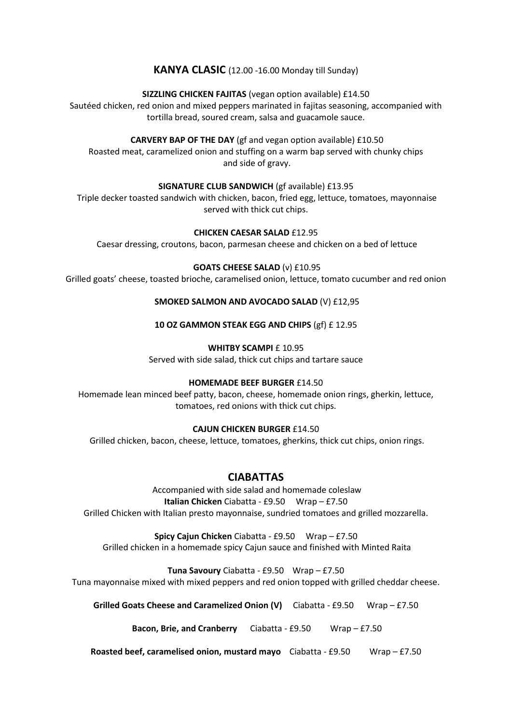#### **KANYA CLASIC** (12.00 -16.00 Monday till Sunday)

#### **SIZZLING CHICKEN FAJITAS** (vegan option available) £14.50

Sautéed chicken, red onion and mixed peppers marinated in fajitas seasoning, accompanied with tortilla bread, soured cream, salsa and guacamole sauce.

#### **CARVERY BAP OF THE DAY** (gf and vegan option available) £10.50

Roasted meat, caramelized onion and stuffing on a warm bap served with chunky chips and side of gravy.

#### **SIGNATURE CLUB SANDWICH** (gf available) £13.95

Triple decker toasted sandwich with chicken, bacon, fried egg, lettuce, tomatoes, mayonnaise served with thick cut chips.

#### **CHICKEN CAESAR SALAD** £12.95

Caesar dressing, croutons, bacon, parmesan cheese and chicken on a bed of lettuce

#### **GOATS CHEESE SALAD** (v) £10.95

Grilled goats' cheese, toasted brioche, caramelised onion, lettuce, tomato cucumber and red onion

#### **SMOKED SALMON AND AVOCADO SALAD** (V) £12,95

#### **10 OZ GAMMON STEAK EGG AND CHIPS** (gf) £ 12.95

#### **WHITBY SCAMPI £ 10.95**

Served with side salad, thick cut chips and tartare sauce

#### **HOMEMADE BEEF BURGER** £14.50

Homemade lean minced beef patty, bacon, cheese, homemade onion rings, gherkin, lettuce, tomatoes, red onions with thick cut chips.

#### **CAJUN CHICKEN BURGER** £14.50

Grilled chicken, bacon, cheese, lettuce, tomatoes, gherkins, thick cut chips, onion rings.

#### **CIABATTAS**

Accompanied with side salad and homemade coleslaw **Italian Chicken** Ciabatta - £9.50 Wrap – £7.50 Grilled Chicken with Italian presto mayonnaise, sundried tomatoes and grilled mozzarella.

**Spicy Cajun Chicken** Ciabatta - £9.50 Wrap – £7.50

Grilled chicken in a homemade spicy Cajun sauce and finished with Minted Raita

**Tuna Savoury** Ciabatta - £9.50 Wrap – £7.50

Tuna mayonnaise mixed with mixed peppers and red onion topped with grilled cheddar cheese.

**Grilled Goats Cheese and Caramelized Onion (V)** Ciabatta - £9.50 Wrap – £7.50

**Bacon, Brie, and Cranberry** Ciabatta - £9.50 Wrap – £7.50

**Roasted beef, caramelised onion, mustard mayo** Ciabatta - £9.50 Wrap – £7.50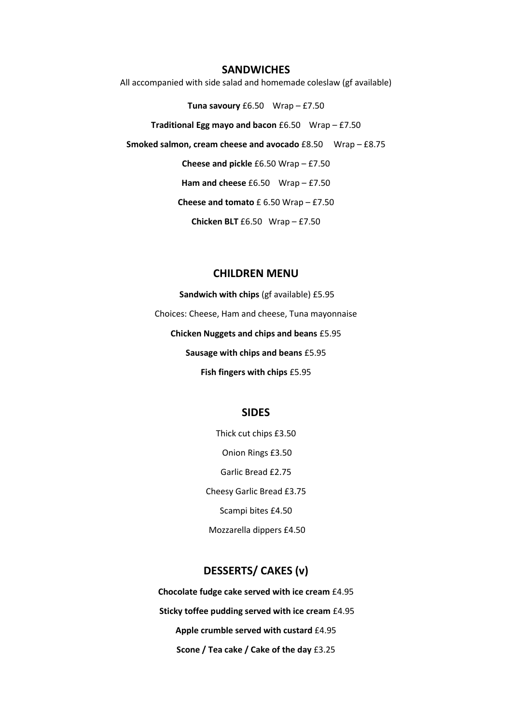#### **SANDWICHES**

All accompanied with side salad and homemade coleslaw (gf available)

**Tuna savoury** £6.50 Wrap – £7.50

**Traditional Egg mayo and bacon** £6.50 Wrap – £7.50

**Smoked salmon, cream cheese and avocado** £8.50 Wrap – £8.75

**Cheese and pickle** £6.50 Wrap – £7.50

Ham and cheese £6.50 Wrap – £7.50

**Cheese and tomato** £ 6.50 Wrap – £7.50

**Chicken BLT** £6.50 Wrap – £7.50

#### **CHILDREN MENU**

**Sandwich with chips** (gf available) £5.95 Choices: Cheese, Ham and cheese, Tuna mayonnaise **Chicken Nuggets and chips and beans** £5.95 **Sausage with chips and beans** £5.95 **Fish fingers with chips** £5.95

#### **SIDES**

Thick cut chips £3.50 Onion Rings £3.50 Garlic Bread £2.75 Cheesy Garlic Bread £3.75 Scampi bites £4.50 Mozzarella dippers £4.50

#### **DESSERTS/ CAKES (v)**

**Chocolate fudge cake served with ice cream** £4.95 **Sticky toffee pudding served with ice cream** £4.95 **Apple crumble served with custard** £4.95 **Scone / Tea cake / Cake of the day** £3.25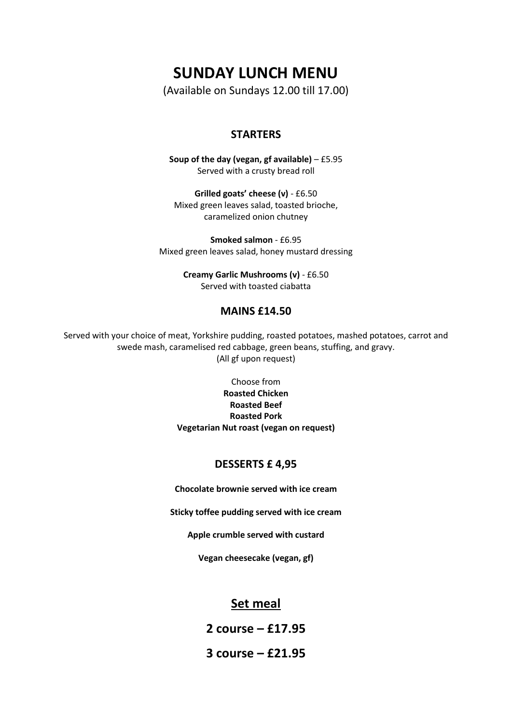## **SUNDAY LUNCH MENU**

(Available on Sundays 12.00 till 17.00)

#### **STARTERS**

**Soup of the day (vegan, gf available)** – £5.95 Served with a crusty bread roll

**Grilled goats' cheese (v)** - £6.50 Mixed green leaves salad, toasted brioche, caramelized onion chutney

**Smoked salmon** - £6.95 Mixed green leaves salad, honey mustard dressing

> **Creamy Garlic Mushrooms (v)** - £6.50 Served with toasted ciabatta

#### **MAINS £14.50**

Served with your choice of meat, Yorkshire pudding, roasted potatoes, mashed potatoes, carrot and swede mash, caramelised red cabbage, green beans, stuffing, and gravy. (All gf upon request)

> Choose from **Roasted Chicken Roasted Beef Roasted Pork Vegetarian Nut roast (vegan on request)**

#### **DESSERTS £ 4,95**

**Chocolate brownie served with ice cream**

**Sticky toffee pudding served with ice cream**

**Apple crumble served with custard**

**Vegan cheesecake (vegan, gf)**

#### **Set meal**

**2 course – £17.95**

**3 course – £21.95**